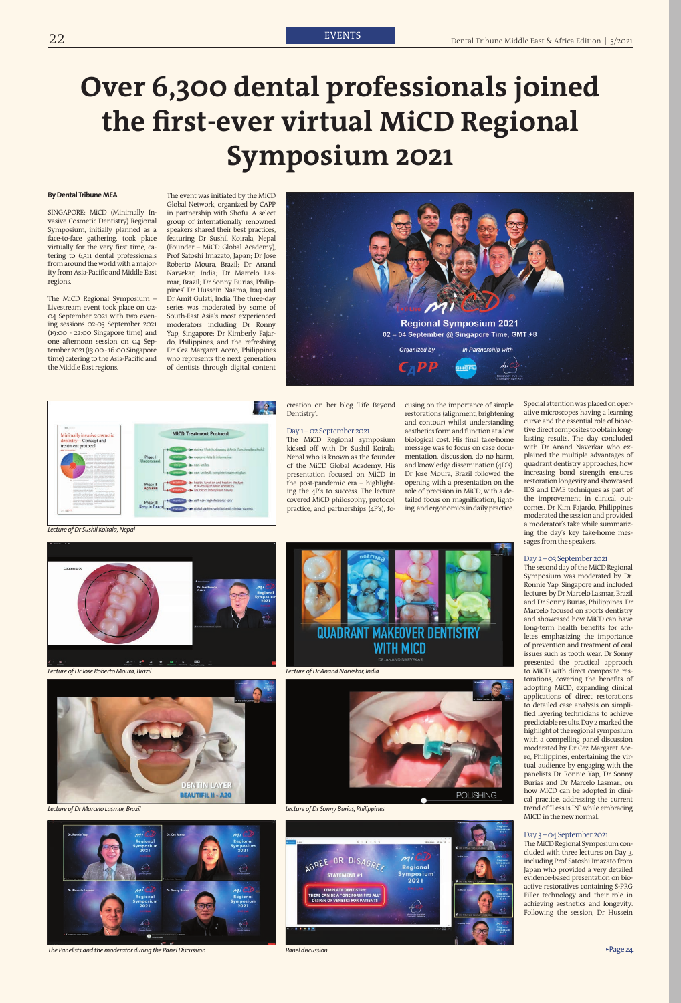# **Over 6,300 dental professionals joined the first-ever virtual MiCD Regional Symposium 2021**

## **By Dental Tribune MEA**

SINGAPORE: MiCD (Minimally Invasive Cosmetic Dentistry) Regional Symposium, initially planned as a face-to-face gathering, took place virtually for the very first time, catering to 6,311 dental professionals from around the world with a majority from Asia-Pacific and Middle East regions.

The MiCD Regional Symposium – Livestream event took place on 02- 04 September 2021 with two evening sessions 02-03 September 2021 (19:00 - 22:00 Singapore time) and one afternoon session on 04 September 2021 (13:00 - 16:00 Singapore time) catering to the Asia-Pacific and the Middle East regions.

The event was initiated by the MiCD Global Network, organized by CAPP in partnership with Shofu. A select group of internationally renowned speakers shared their best practices, featuring Dr Sushil Koirala, Nepal (Founder – MiCD Global Academy), Prof Satoshi Imazato, Japan; Dr Jose Roberto Moura, Brazil; Dr Anand Narvekar, India; Dr Marcelo Lasmar, Brazil; Dr Sonny Burias, Philippines' Dr Hussein Naama, Iraq and Dr Amit Gulati, India. The three-day series was moderated by some of South-East Asia's most experienced moderators including Dr Ronny Yap, Singapore; Dr Kimberly Fajardo, Philippines, and the refreshing Dr Cez Margaret Acero, Philippines who represents the next generation of dentists through digital content





creation on her blog 'Life Beyond Dentistry'.

#### Day 1 – 02 September 2021

The MiCD Regional symposium kicked off with Dr Sushil Koirala, Nepal who is known as the founder of the MiCD Global Academy. His presentation focused on MiCD in the post-pandemic era – highlighting the 4P's to success. The lecture covered MiCD philosophy, protocol, practice, and partnerships (4P's), fo-

#### *Lecture of Dr Sushil Koirala, Nepal*





*Lecture of Dr Anand Narvekar, India*



The Panelists and the moderator during the Panel Discussion *Panel discussion Panel discussion Panel Discussion Page 24* 

*Lecture of Dr Sonny Burias, Philippines*

*Panel discussion*

*Lecture of Dr Jose Roberto Moura, Brazil*



*Lecture of Dr Marcelo Lasmar, Brazil*



cusing on the importance of simple restorations (alignment, brightening and contour) whilst understanding aesthetics form and function at a low biological cost. His final take-home message was to focus on case documentation, discussion, do no harm, and knowledge dissemination (4D's). Dr Jose Moura, Brazil followed the opening with a presentation on the role of precision in MiCD, with a detailed focus on magnification, lighting, and ergonomics in daily practice. Special attention was placed on operative microscopes having a learning curve and the essential role of bioactive direct composites to obtain longlasting results. The day concluded with Dr Anand Naverkar who explained the multiple advantages of quadrant dentistry approaches, how increasing bond strength ensures restoration longevity and showcased IDS and DME techniques as part of the improvement in clinical outcomes. Dr Kim Fajardo, Philippines moderated the session and provided a moderator's take while summarizing the day's key take-home messages from the speakers.

## Day 2 – 03 September 2021

The second day of the MiCD Regional Symposium was moderated by Dr. Ronnie Yap, Singapore and included lectures by Dr Marcelo Lasmar, Brazil and Dr Sonny Burias, Philippines. Dr Marcelo focused on sports dentistry and showcased how MiCD can have long-term health benefits for athletes emphasizing the importance of prevention and treatment of oral issues such as tooth wear. Dr Sonny presented the practical approach to MiCD with direct composite restorations, covering the benefits of adopting MiCD, expanding clinical applications of direct restorations to detailed case analysis on simplified layering technicians to achieve predictable results. Day 2 marked the highlight of the regional symposium with a compelling panel discussion moderated by Dr Cez Margaret Acero, Philippines, entertaining the virtual audience by engaging with the panelists Dr Ronnie Yap, Dr Sonny Burias and Dr Marcelo Lasmar., on how MICD can be adopted in clinical practice, addressing the current trend of "Less is IN" while embracing MICD in the new normal.

### Day 3 – 04 September 2021

The MiCD Regional Symposium concluded with three lectures on Day 3, including Prof Satoshi Imazato from Japan who provided a very detailed evidence-based presentation on bioactive restoratives containing S-PRG Filler technology and their role in achieving aesthetics and longevity. Following the session, Dr Hussein